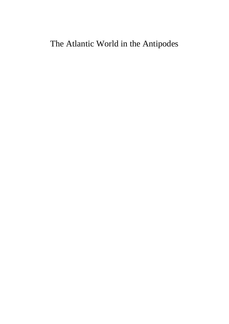# The Atlantic World in the Antipodes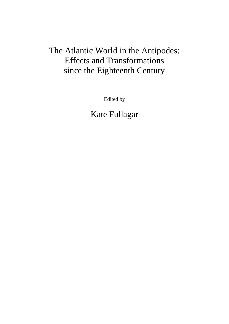# The Atlantic World in the Antipodes: Effects and Transformations since the Eighteenth Century

Edited by

Kate Fullagar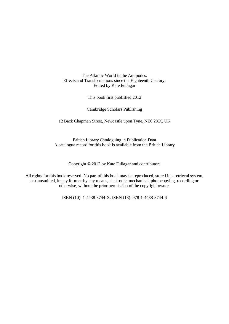The Atlantic World in the Antipodes: Effects and Transformations since the Eighteenth Century, Edited by Kate Fullagar

This book first published 2012

Cambridge Scholars Publishing

12 Back Chapman Street, Newcastle upon Tyne, NE6 2XX, UK

British Library Cataloguing in Publication Data A catalogue record for this book is available from the British Library

Copyright © 2012 by Kate Fullagar and contributors

All rights for this book reserved. No part of this book may be reproduced, stored in a retrieval system, or transmitted, in any form or by any means, electronic, mechanical, photocopying, recording or otherwise, without the prior permission of the copyright owner.

ISBN (10): 1-4438-3744-X, ISBN (13): 978-1-4438-3744-6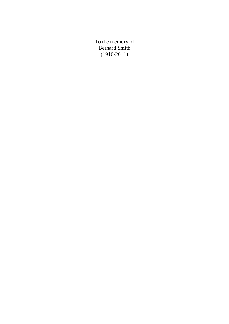To the memory of Bernard Smith (1916-2011)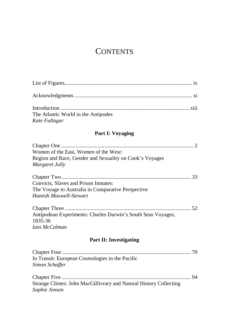# **CONTENTS**

| The Atlantic World in the Antipodes |  |
|-------------------------------------|--|
| Kate Fullagar                       |  |

### **Part I: Voyaging**

| Women of the East, Women of the West:                        |  |
|--------------------------------------------------------------|--|
| Region and Race, Gender and Sexuality on Cook's Voyages      |  |
| Margaret Jolly                                               |  |
|                                                              |  |
| Convicts, Slaves and Prison Inmates:                         |  |
| The Voyage to Australia in Comparative Perspective           |  |
| Hamish Maxwell-Stewart                                       |  |
|                                                              |  |
| Antipodean Experiments: Charles Darwin's South Seas Voyages, |  |
| 1835-36                                                      |  |
| Iain McCalman                                                |  |

## **Part II: Investigating**

| In Transit: European Cosmologies in the Pacific                   |  |
|-------------------------------------------------------------------|--|
| Simon Schaffer                                                    |  |
|                                                                   |  |
|                                                                   |  |
| Strange Climes: John MacGillivrary and Natural History Collecting |  |
| Sophie Jensen                                                     |  |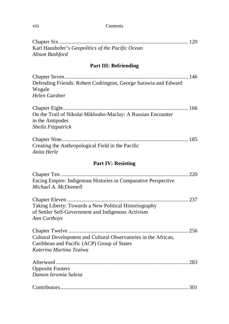#### viii Contents

| Karl Haushofer's Geopolitics of the Pacific Ocean<br>Alison Bashford                                                                             |  |  |
|--------------------------------------------------------------------------------------------------------------------------------------------------|--|--|
| <b>Part III: Befriending</b>                                                                                                                     |  |  |
| Defending Friends: Robert Codrington, George Sarawia and Edward<br>Wogale<br>Helen Gardner                                                       |  |  |
| On the Trail of Nikolai Miklouho-Maclay: A Russian Encounter<br>in the Antipodes<br>Sheila Fitzpatrick                                           |  |  |
| Creating the Anthropological Field in the Pacific<br>Anita Herle                                                                                 |  |  |
| <b>Part IV: Resisting</b>                                                                                                                        |  |  |
| Facing Empire: Indigenous Histories in Comparative Perspective<br>Michael A. McDonnell                                                           |  |  |
| Taking Liberty: Towards a New Political Historiography<br>of Settler Self-Government and Indigenous Activism<br>Ann Curthoys                     |  |  |
| 256<br>Cultural Development and Cultural Observatories in the African,<br>Caribbean and Pacific (ACP) Group of States<br>Katerina Martina Teaiwa |  |  |
| <b>Opposite Footers</b><br>Damon Ieremia Salesa                                                                                                  |  |  |
|                                                                                                                                                  |  |  |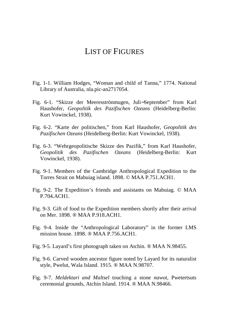## LIST OF FIGURES

- Fig. 1-1. William Hodges, "Woman and child of Tanna," 1774. National Library of Australia, nla.pic-an2717054.
- Fig. 6-1. "Skizze der Meeresströnmugen, Juli−September" from Karl Haushofer, *Geopolitik des Pazifischen Ozeans* (Heidelberg-Berlin: Kurt Vowinckel, 1938).
- Fig. 6-2. "Karte der politischen," from Karl Haushofer, *Geopolitik des Pazifischen Ozeans* (Heidelberg-Berlin: Kurt Vowinckel, 1938).
- Fig. 6-3. "Wehrgeopolitische Skizze des Pazifik," from Karl Haushofer, *Geopolitik des Pazifischen Ozeans* (Heidelberg-Berlin: Kurt Vowinckel, 1938).
- Fig. 9-1. Members of the Cambridge Anthropological Expedition to the Torres Strait on Mabuiag island. 1898. © MAA P.751.ACH1.
- Fig. 9-2. The Expedition's friends and assistants on Mabuiag. © MAA P.704.ACH1.
- Fig. 9-3. Gift of food to the Expedition members shortly after their arrival on Mer. 1898. ® MAA P.918.ACH1.
- Fig. 9-4. Inside the "Anthropological Laboratory" in the former LMS mission house. 1898. ® MAA P.756.ACH1.
- Fig. 9-5. Layard's first photograph taken on Atchin. ® MAA N.98455.
- Fig. 9-6. Carved wooden ancestor figure noted by Layard for its naturalist style, Pwelut, Wala Island. 1915. ® MAA N.98707.
- Fig. 9-7. *Meldektari and Maltsel* touching a stone *nawot,* Pwetertsuts ceremonial grounds, Atchin Island. 1914. ® MAA N.98466.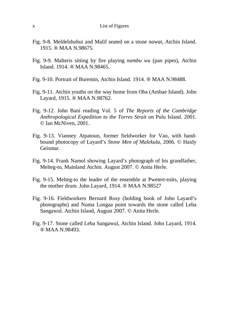#### x List of Figures

- Fig. 9-8. Meldelshuhui and Malif seated on a stone *nawat,* Atchin Island. 1915. ® MAA N.98675.
- Fig. 9-9. Malteris sitting by fire playing *nambu wu* (pan pipes), Atchin Island. 1914. ® MAA N.98465.
- Fig. 9-10. Portrait of Buremin, Atchin Island. 1914. ® MAA N.98488.
- Fig. 9-11. Atchin youths on the way home from Oba (Ambae Island). John Layard, 1915. ® MAA N.98762.
- Fig. 9-12. John Bani reading Vol. 5 of *The Reports of the Cambridge Anthropological Expedition to the Torres Strait* on Pulu Island. 2001. © Ian McNiven, 2001.
- Fig. 9-13. Vianney Atpatoun, former fieldworker for Vao, with handbound photocopy of Layard's *Stone Men of Malekula,* 2006*.* © Haidy Geismar.
- Fig. 9-14. Frank Namol showing Layard's photograph of his grandfather, Melteg-to, Mainland Atchin. August 2007. © Anita Herle.
- Fig. 9-15. Melteg-to the leader of the ensemble at Pwetert-tsüts, playing the mother drum. John Layard, 1914. ® MAA N.98527
- Fig. 9-16. Fieldworkers Bernard Rosy (holding book of John Layard's photographs) and Numa Longaa point towards the stone called Leba Sangawul. Atchin Island, August 2007. © Anita Herle.
- Fig. 9-17. Stone called Leba Sangawul, Atchin Island. John Layard, 1914. ® MAA N.98493.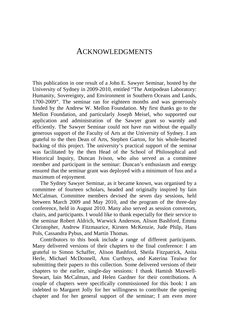### ACKNOWLEDGMENTS

This publication in one result of a John E. Sawyer Seminar, hosted by the University of Sydney in 2009-2010, entitled "The Antipodean Laboratory: Humanity, Sovereignty, and Environment in Southern Oceans and Lands, 1700-2009". The seminar ran for eighteen months and was generously funded by the Andrew W. Mellon Foundation. My first thanks go to the Mellon Foundation, and particularly Joseph Meisel, who supported our application and administration of the Sawyer grant so warmly and efficiently. The Sawyer Seminar could not have run without the equally generous support of the Faculty of Arts at the University of Sydney. I am grateful to the then Dean of Arts, Stephen Garton, for his whole-hearted backing of this project. The university's practical support of the seminar was facilitated by the then Head of the School of Philosophical and Historical Inquiry, Duncan Ivison, who also served as a committee member and participant in the seminar: Duncan's enthusiasm and energy ensured that the seminar grant was deployed with a minimum of fuss and a maximum of enjoyment.

The Sydney Sawyer Seminar, as it became known, was organised by a committee of fourteen scholars, headed and originally inspired by Iain McCalman. Committee members devised the seven day sessions, held between March 2009 and May 2010, and the program of the three-day conference, held in August 2010. Many also served as session convenors, chairs, and participants. I would like to thank especially for their service to the seminar Robert Aldrich, Warwick Anderson, Alison Bashford, Emma Christopher, Andrew Fitzmaurice, Kirsten McKenzie, Jude Philp, Hans Pols, Cassandra Pybus, and Martin Thomas.

Contributors to this book include a range of different participants. Many delivered versions of their chapters to the final conference: I am grateful to Simon Schaffer, Alison Bashford, Sheila Fitzpatrick, Anita Herle, Michael McDonnell, Ann Curthoys, and Katerina Teaiwa for submitting their papers to this collection. Some delivered versions of their chapters to the earlier, single-day sessions: I thank Hamish Maxwell-Stewart, Iain McCalman, and Helen Gardner for their contributions. A couple of chapters were specifically commissioned for this book: I am indebted to Margaret Jolly for her willingness to contribute the opening chapter and for her general support of the seminar; I am even more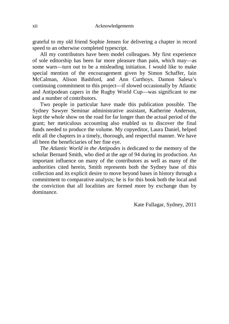grateful to my old friend Sophie Jensen for delivering a chapter in record speed to an otherwise completed typescript.

All my contributors have been model colleagues. My first experience of sole editorship has been far more pleasure than pain, which may—as some warn—turn out to be a misleading initiation. I would like to make special mention of the encouragement given by Simon Schaffer, Iain McCalman, Alison Bashford, and Ann Curthoys. Damon Salesa's continuing commitment to this project—if slowed occasionally by Atlantic and Antipodean capers in the Rugby World Cup—was significant to me and a number of contributors.

Two people in particular have made this publication possible. The Sydney Sawyer Seminar administrative assistant, Katherine Anderson, kept the whole show on the road for far longer than the actual period of the grant; her meticulous accounting also enabled us to discover the final funds needed to produce the volume. My copyeditor, Laura Daniel, helped edit all the chapters in a timely, thorough, and respectful manner. We have all been the beneficiaries of her fine eye.

*The Atlantic World in the Antipodes* is dedicated to the memory of the scholar Bernard Smith, who died at the age of 94 during its production. An important influence on many of the contributors as well as many of the authorities cited herein, Smith represents both the Sydney base of this collection and its explicit desire to move beyond bases in history through a commitment to comparative analysis; he is for this book both the local and the conviction that all localities are formed more by exchange than by dominance.

Kate Fullagar, Sydney, 2011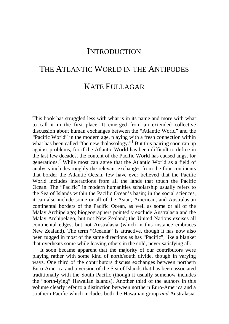## **INTRODUCTION**

# THE ATLANTIC WORLD IN THE ANTIPODES KATE FULLAGAR

This book has struggled less with what is in its name and more with what to call it in the first place. It emerged from an extended collective discussion about human exchanges between the "Atlantic World" and the "Pacific World" in the modern age, playing with a fresh connection within what has been called "the new thalassology."<sup>1</sup> But this pairing soon ran up against problems, for if the Atlantic World has been difficult to define in the last few decades, the content of the Pacific World has caused angst for generations.<sup>2</sup> While most can agree that the Atlantic World as a field of analysis includes roughly the relevant exchanges from the four continents that border the Atlantic Ocean, few have ever believed that the Pacific World includes interactions from all the lands that touch the Pacific Ocean. The "Pacific" in modern humanities scholarship usually refers to the Sea of Islands within the Pacific Ocean's basin; in the social sciences, it can also include some or all of the Asian, American, and Australasian continental borders of the Pacific Ocean, as well as some or all of the Malay Archipelago; biogeographers pointedly exclude Australasia and the Malay Archipelago, but not New Zealand; the United Nations excises all continental edges, but not Australasia (which in this instance embraces New Zealand). The term "Oceania" is attractive, though it has now also been tugged in most of the same directions as has "Pacific", like a blanket that overheats some while leaving others in the cold, never satisfying all.

It soon became apparent that the majority of our contributors were playing rather with some kind of north/south divide, though in varying ways. One third of the contributors discuss exchanges between northern Euro-America and a version of the Sea of Islands that has been associated traditionally with the South Pacific (though it usually somehow includes the "north-lying" Hawaiian islands). Another third of the authors in this volume clearly refer to a distinction between northern Euro-America and a southern Pacific which includes both the Hawaiian group *and* Australasia.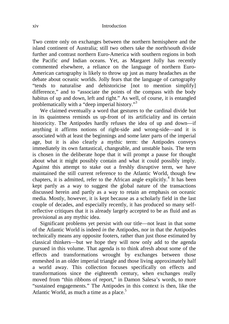Two centre only on exchanges between the northern hemisphere and the island continent of Australia; still two others take the north/south divide further and contrast northern Euro-America with southern regions in both the Pacific *and* Indian oceans. Yet, as Margaret Jolly has recently commented elsewhere, a reliance on the language of northern Euro-American cartography is likely to throw up just as many headaches as the debate about oceanic worlds. Jolly fears that the language of cartography "tends to naturalise and dehistoricise [not to mention simplify] difference," and to "associate the points of the compass with the body habitus of up and down, left and right." As well, of course, it is entangled problematically with a "deep imperial history."<sup>3</sup>

We claimed eventually a word that gestures to the cardinal divide but in its quaintness reminds us up-front of its artificiality and its certain historicity. The Antipodes hardly refuses the idea of up and down—if anything it affirms notions of right-side and wrong-side—and it is associated with at least the beginnings and some later parts of the imperial age, but it is also clearly a mythic term: the Antipodes conveys immediately its own fantastical, changeable, and unstable basis. The term is chosen in the deliberate hope that it will prompt a pause for thought about what it might possibly contain and what it could possibly imply. Against this attempt to stake out a freshly disruptive term, we have maintained the still current reference to the Atlantic World, though few chapters, it is admitted, refer to the African angle explicitly.<sup>4</sup> It has been kept partly as a way to suggest the global nature of the transactions discussed herein and partly as a way to retain an emphasis on oceanic media. Mostly, however, it is kept because as a scholarly field in the last couple of decades, and especially recently, it has produced so many selfreflective critiques that it is already largely accepted to be as fluid and as provisional as any mythic idea.

Significant problems yet persist with our title—not least in that some of the Atlantic World is indeed *in* the Antipodes, nor in that the Antipodes technically means any opposite footers, rather than just those estimated by classical thinkers—but we hope they will now only add to the agenda pursued in this volume. That agenda is to think afresh about some of the effects and transformations wrought by exchanges between those enmeshed in an older imperial triangle and those living approximately half a world away. This collection focuses specifically on effects and transformations since the eighteenth century, when exchanges really moved from "thin ribbons of report," in Damon Salesa's words, to more "sustained engagements." The Antipodes in this context is then, like the Atlantic World, as much a time as a place. $5$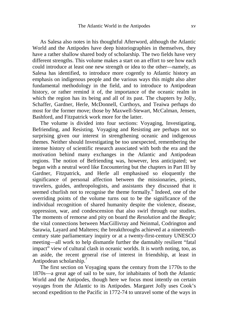As Salesa also notes in his thoughtful Afterword, although the Atlantic World and the Antipodes have deep historiographies in themselves, they have a rather shallow shared body of scholarship. The two fields have very different strengths. This volume makes a start on an effort to see how each could introduce at least one new strength or idea to the other—namely, as Salesa has identified, to introduce more cogently to Atlantic history an emphasis on indigenous people and the various ways this might also alter fundamental methodology in the field, and to introduce to Antipodean history, or rather remind it of, the importance of the oceanic realm in which the region has its being and all of its past. The chapters by Jolly, Schaffer, Gardner, Herle, McDonnell, Curthoys, and Teaiwa perhaps do most for the former move; those by Maxwell-Stewart, McCalman, Jensen, Bashford, and Fitzpatrick work more for the latter.

The volume is divided into four sections: Voyaging, Investigating, Befriending, and Resisting. Voyaging and Resisting are perhaps not so surprising given our interest in strengthening oceanic and indigenous themes. Neither should Investigating be too unexpected, remembering the intense history of scientific research associated with both the era and the motivation behind many exchanges in the Atlantic and Antipodean regions. The notion of Befriending was, however, less anticipated; we began with a neutral word like Encountering but the chapters in Part III by Gardner, Fitzpatrick, and Herle all emphasised so eloquently the significance of personal affection between the missionaries, priests, travelers, guides, anthropologists, and assistants they discussed that it seemed churlish not to recognise the theme formally.<sup>6</sup> Indeed, one of the overriding points of the volume turns out to be the significance of the individual recognition of shared humanity despite the violence, disease, oppression, war, and condescension that also swirl through our studies. The moments of remorse and pity on board the *Resolution* and the *Beagle*; the vital connections between MacGillivray and Neinmal, Codrington and Sarawia, Layard and Malteres; the breakthroughs achieved at a nineteenthcentury state parliamentary inquiry or at a twenty-first-century UNESCO meeting—all work to help dismantle further the damnably resilient "fatal impact" view of cultural clash in oceanic worlds. It is worth noting, too, as an aside, the recent general rise of interest in friendship, at least in Antipodean scholarship.<sup>7</sup>

The first section on Voyaging spans the century from the 1770s to the 1870s—a great age of sail to be sure, for inhabitants of both the Atlantic World and the Antipodes, though here we focus most intently on certain voyages from the Atlantic to its Antipodes. Margaret Jolly uses Cook's second expedition to the Pacific in 1772-74 to unravel some of the ways in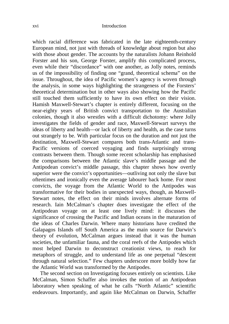#### xvi Introduction

which racial difference was fabricated in the late eighteenth-century European mind, not just with threads of knowledge about region but also with those about gender. The accounts by the naturalists Johann Reinhold Forster and his son, George Forster, amplify this complicated process, even while their "discordance" with one another, as Jolly notes, reminds us of the impossibility of finding one "grand, theoretical schema" on the issue. Throughout, the idea of Pacific women's agency is woven through the analysis, in some ways highlighting the strangeness of the Forsters' theoretical determination but in other ways also showing how the Pacific still touched them sufficiently to have its own effect on their vision. Hamish Maxwell-Stewart's chapter is entirely different, focusing on the near-eighty years of British convict transportation to the Australian colonies, though it also wrestles with a difficult dichotomy: where Jolly investigates the fields of gender and race, Maxwell-Stewart surveys the ideas of liberty and health—or lack of liberty and health, as the case turns out strangely to be. With particular focus on the duration and not just the destination, Maxwell-Stewart compares both trans-Atlantic and trans-Pacific versions of coerced voyaging and finds surprisingly strong contrasts between them. Though some recent scholarship has emphasised the comparisons between the Atlantic slave's middle passage and the Antipodean convict's middle passage, this chapter shows how overtly superior were the convict's opportunities—outliving not only the slave but oftentimes and ironically even the average labourer back home. For most convicts, the voyage from the Atlantic World to the Antipodes was transformative for their bodies in unexpected ways, though, as Maxwell-Stewart notes, the effect on their minds involves alternate forms of research. Iain McCalman's chapter does investigate the effect of the Antipodean voyage on at least one lively mind: it discusses the significance of crossing the Pacific and Indian oceans in the maturation of the ideas of Charles Darwin. Where many historians have credited the Galapagos Islands off South America as the main source for Darwin's theory of evolution, McCalman argues instead that it was the human societies, the unfamiliar fauna, and the coral reefs of the Antipodes which most helped Darwin to deconstruct creationist views, to reach for metaphors of struggle, and to understand life as one perpetual "descent through natural selection." Few chapters underscore more boldly how far the Atlantic World was transformed by the Antipodes.

The second section on Investigating focuses entirely on scientists. Like McCalman, Simon Schaffer also invokes the notion of an Antipodean laboratory when speaking of what he calls "North Atlantic" scientific endeavours. Importantly, and again like McCalman on Darwin, Schaffer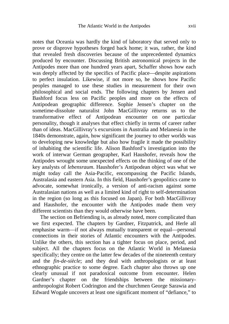notes that Oceania was hardly the kind of laboratory that served only to prove or disprove hypotheses forged back home; it was, rather, the kind that revealed fresh discoveries because of the unprecedented dynamics produced by encounter. Discussing British astronomical projects in the Antipodes more than one hundred years apart, Schaffer shows how each was deeply affected by the specifics of Pacific place—despite aspirations to perfect insulation. Likewise, if not more so, he shows how Pacific peoples managed to use these studies in measurement for their own philosophical and social ends. The following chapters by Jensen and Bashford focus less on Pacific peoples and more on the effects of Antipodean geographic difference. Sophie Jensen's chapter on the sometime-dissolute naturalist John MacGillivray returns us to the transformative effect of Antipodean encounter on one particular personality, though it analyses that effect chiefly in terms of career rather than of ideas. MacGillivray's excursions in Australia and Melanesia in the 1840s demonstrate, again, how significant the journey to other worlds was to developing new knowledge but also how fragile it made the possibility of inhabiting the scientific life. Alison Bashford's investigation into the work of interwar German geographer, Karl Haushofer, reveals how the Antipodes wrought some unexpected effects on the thinking of one of the key analysts of *lebensraum*. Haushofer's Antipodean object was what we might today call the Asia-Pacific, encompassing the Pacific Islands, Australasia and eastern Asia. In this field, Haushofer's geopolitics came to advocate, somewhat ironically, a version of anti-racism against some Australasian nations as well as a limited kind of right to self-determination in the region (so long as this focused on Japan). For both MacGillivray and Haushofer, the encounter with the Antipodes made them very different scientists than they would otherwise have been.

The section on Befriending is, as already noted, more complicated than we first expected. The chapters by Gardner, Fitzpatrick, and Herle all emphasise warm—if not always mutually transparent or equal—personal connections in their stories of Atlantic encounters with the Antipodes. Unlike the others, this section has a tighter focus on place, period, and subject. All the chapters focus on the Atlantic World in Melanesia specifically; they centre on the latter few decades of the nineteenth century and the *fin-de-siècle*; and they deal with anthropologists or at least ethnographic practice to some degree. Each chapter also throws up one clearly unusual if not paradoxical outcome from encounter. Helen Gardner's chapter on the friendships between the missionaryanthropologist Robert Codrington and the churchmen George Sarawia and Edward Wogale uncovers at least one significant moment of "defiance," to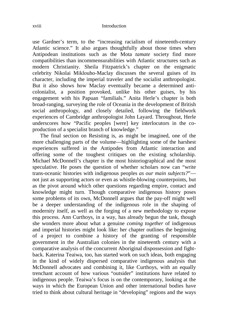use Gardner's term, to the "increasing racialism of nineteenth-century Atlantic science." It also argues thoughtfully about those times when Antipodean institutions such as the Mota *tamate* society find more compatibilities than incommensurabilities with Atlantic structures such as modern Christianity. Sheila Fitzpatrick's chapter on the enigmatic celebrity Nikolai Miklouho-Maclay discusses the several guises of its character, including the imperial traveler and the socialist anthropologist. But it also shows how Maclay eventually became a determined anticolonialist, a position provoked, unlike his other guises, by his engagement with his Papuan "familials." Anita Herle's chapter is both broad-ranging, surveying the role of Oceania in the development of British social anthropology, and closely detailed, following the fieldwork experiences of Cambridge anthropologist John Layard. Throughout, Herle underscores how "Pacific peoples [were] key interlocutors in the coproduction of a specialist branch of knowledge."

The final section on Resisting is, as might be imagined, one of the more challenging parts of the volume—highlighting some of the harshest experiences suffered in the Antipodes from Atlantic interaction and offering some of the toughest critiques on the existing scholarship. Michael McDonnell's chapter is the most historiographical and the most speculative. He poses the question of whether scholars now can "write trans-oceanic histories with indigenous peoples *as our main subjects?*" not just as supporting actors or even as whistle-blowing counterpoints, but as the pivot around which other questions regarding empire, contact and knowledge might turn. Though comparative indigenous history poses some problems of its own, McDonnell argues that the pay-off might well be a deeper understanding of the indigenous role in the shaping of modernity itself, as well as the forging of a new methodology to expose this process. Ann Curthoys, in a way, has already begun the task, though she wonders more about what a genuine *coming together* of indigenous and imperial histories might look like: her chapter outlines the beginning of a project to combine a history of the granting of responsible government in the Australian colonies in the nineteenth century with a comparative analysis of the concurrent Aboriginal dispossession and fightback. Katerina Teaiwa, too, has started work on such ideas, both engaging in the kind of widely dispersed comparative indigenous analysis that McDonnell advocates and combining it, like Curthoys, with an equally trenchant account of how various "outsider" institutions have related to indigenous people. Teaiwa's focus is on the contemporary, looking at the ways in which the European Union and other international bodies have tried to think about cultural heritage in "developing" regions and the ways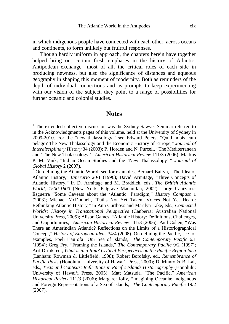in which indigenous people have connected with each other, across oceans and continents, to form unlikely but fruitful responses.

Though hardly uniform in approach, the chapters herein have together helped bring out certain fresh emphases in the history of Atlantic-Antipodean exchange—most of all, the critical roles of each side in producing newness, but also the significance of distances and aqueous geography in shaping this moment of modernity. Both as reminders of the depth of individual connections and as prompts to keep experimenting with our vision of the subject, they point to a range of possibilities for further oceanic and colonial studies.

#### **Notes**

-

<sup>&</sup>lt;sup>1</sup> The extended collective discussion was the Sydney Sawyer Seminar referred to in the Acknowledgments pages of this volume, held at the University of Sydney in 2009-2010. For the "new thalassology," see Edward Peters, "Quid nobis cum pelago? The New Thalassology and the Economic History of Europe," *Journal of Interdisciplinary History* 34 (2003); P. Horden and N. Purcell, "The Mediterranean and 'The New Thalassology,'" *American Historical Review* 111/3 (2006); Markus P. M. Vink, "Indian Ocean Studies and the 'New Thalassology'," *Journal of Global History* 2 (2007).

 $2$  On defining the Atlantic World, see for examples, Bernard Bailyn, "The Idea of Atlantic History," *Itinerario* 20/1 (1996); David Armitage, "Three Concepts of Atlantic History," in D. Armitage and M. Braddick, eds., *The British Atlantic World, 1500-1800* (New York: Palgrave Macmillan, 2002); Jorge Canizares-Esguerra "Some Caveats about the 'Atlantic' Paradigm," *History Compass* 1 (2003); Michael McDonnell, "Paths Not Yet Taken, Voices Not Yet Heard: Rethinking Atlantic History," in Ann Curthoys and Marilyn Lake, eds., *Connected Worlds: History in Transnational Perspective* (Canberra: Australian National University Press, 2005); Alison Games, "Atlantic History: Definitions, Challenges, and Opportunities," *American Historical Review* 111/3 (2006); Paul Cohen, "Was There an Amerindian Atlantic? Reflections on the Limits of a Historiographical Concept," *History of European Ideas* 34/4 (2008). On defining the Pacific, see for examples, Epeli Hau'ofa "Our Sea of Islands," *The Contemporary Pacific* 6/1 (1994); Greg Fry, "Framing the Islands," *The Contemporary Pacific* 9/2 (1997); Arif Dirlik, ed., *What is in a Rim? Critical Perspectives on the Pacific Region Idea* (Lanham: Rowman & Littlefield, 1998); Robert Borofsky, ed., *Remembrance of Pacific Pasts* (Honolulu: University of Hawai'i Press, 2000); D. Munro & B. Lal, eds., *Texts and Contexts: Reflections in Pacific Islands Historiography* (Honolulu: University of Hawai'i Press, 2005); Matt Matsuda, "The Pacific," *American Historical Review* 111/3 (2006); Margaret Jolly, "Imagining Oceania: Indigenous and Foreign Representations of a Sea of Islands," *The Contemporary Pacific* 19/2 (2007).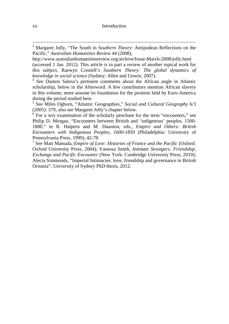3 Margaret Jolly, "The South in *Southern Theory*: Antipodean Reflections on the Pacific," *Australian Humanities Review* 44 (2008),

http://www.australianhumanitiesreview.org/archive/Issue-March-2008/jolly.html (accessed 1 Jan. 2012). This article is in part a review of another topical work for this subject, Raewyn Connell's *Southern Theory: The global dynamics of knowledge in social science* (Sydney: Allen and Unwin, 2007).

4 See Damon Salesa's pertinent comments about the African angle in Atlantic scholarship, below in the Afterword. A few contributors mention African slavery in this volume; more assume its foundation for the position held by Euro-America during the period studied here.

5 See Miles Ogborn, "Atlantic Geographies," *Social and Cultural Geography* 6/3 (2005): 379; also see Margaret Jolly's chapter below.

<sup>6</sup> For a wry examination of the scholarly penchant for the term "encounters," see Philip D. Morgan, "Encounters between British and 'indigenous' peoples, 1500- 1800," in R. Halpern and M. Daunton, eds., *Empire and Others: British Encounters with Indigenous Peoples, 1600-1850* (Philadelphia: University of Pennsylvania Press, 1999), 42-78.

7 See Matt Matsuda, *Empire of Love: Histories of France and the Pacific* (Oxford: Oxford University Press, 2004); Vanessa Smith, *Intimate Strangers: Friendship, Exchange and Pacific Encounter* (New York: Cambridge University Press, 2010); Alecia Simmonds, "Imperial Intimacies: love, friendship and governance in British Oceania", University of Sydney PhD thesis, 2012.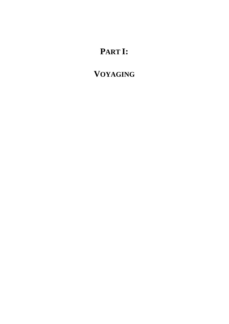# **PART I:**

# **VOYAGING**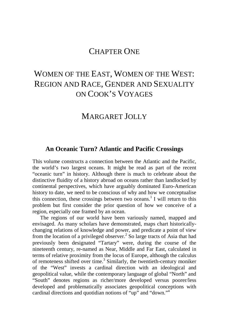## CHAPTER ONE

## WOMEN OF THE EAST, WOMEN OF THE WEST: REGION AND RACE, GENDER AND SEXUALITY ON COOK'S VOYAGES

## MARGARET JOLLY

### **An Oceanic Turn? Atlantic and Pacific Crossings**

This volume constructs a connection between the Atlantic and the Pacific, the world's two largest oceans. It might be read as part of the recent "oceanic turn" in history. Although there is much to celebrate about the distinctive fluidity of a history abroad on oceans rather than landlocked by continental perspectives, which have arguably dominated Euro-American history to date, we need to be conscious of why and how we conceptualise this connection, these crossings between two oceans.<sup>1</sup> I will return to this problem but first consider the prior question of how we conceive of a region, especially one framed by an ocean.

The regions of our world have been variously named, mapped and envisaged. As many scholars have demonstrated, maps chart historicallychanging relations of knowledge and power, and predicate a point of view from the location of a privileged observer.<sup>2</sup> So large tracts of Asia that had previously been designated "Tartary" were, during the course of the nineteenth century, re-named as Near, Middle and Far East, calculated in terms of relative proximity from the locus of Europe, although the calculus of remoteness shifted over time.<sup>3</sup> Similarly, the twentieth-century moniker of the "West" invests a cardinal direction with an ideological and geopolitical value, while the contemporary language of global "North" and "South" denotes regions as richer/more developed versus poorer/less developed and problematically associates geopolitical conceptions with cardinal directions and quotidian notions of "up" and "down." $4$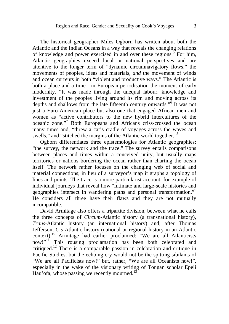The historical geographer Miles Ogborn has written about both the Atlantic and the Indian Oceans in a way that reveals the changing relations of knowledge and power exercised in and over these regions.<sup>5</sup> For him, Atlantic geographies exceed local or national perspectives and are attentive to the longer term of "dynamic circumnavigatory flows," the movements of peoples, ideas and materials, *and* the movement of winds and ocean currents in both "violent and productive ways." The Atlantic is both a place and a time—in European periodisation the moment of early modernity. "It was made through the unequal labour, knowledge and investment of the peoples living around its rim and moving across its depths and shallows from the late fifteenth century onwards."<sup>6</sup> It was not just a Euro-American place but also one that engaged African men and women as "active contributors to the new hybrid intercultures of the oceanic zone."<sup>7</sup> Both Europeans and Africans criss-crossed the ocean many times and, "threw a cat's cradle of voyages across the waves and swells," and "stitched the margins of the Atlantic world together."<sup>8</sup>

Ogborn differentiates three epistemologies for Atlantic geographies: "the survey, the network and the trace." The survey entails comparisons between places and times within a conceived unity, but usually maps territories or nations bordering the ocean rather than charting the ocean itself. The network rather focuses on the changing web of social and material connections; in lieu of a surveyor's map it graphs a topology of lines and points. The trace is a more particularist account, for example of individual journeys that reveal how "intimate and large-scale histories and geographies intersect in wandering paths and personal transformation."<sup>9</sup> He considers all three have their flaws and they are not mutually incompatible.

David Armitage also offers a tripartite division, between what he calls the three concepts of *Circum*-Atlantic history (a transnational history), *Trans*-Atlantic history (an international history) and, after Thomas Jefferson, *Cis*-Atlantic history (national or regional history in an Atlantic context).<sup>10</sup> Armitage had earlier proclaimed: "We are all Atlanticists now!"<sup>11</sup> This rousing proclamation has been both celebrated and critiqued.<sup>12</sup> There is a comparable passion in celebration and critique in Pacific Studies, but the echoing cry would not be the spitting sibilants of "We are all Pacificists now!" but, rather, "We are all Oceanists now!", especially in the wake of the visionary writing of Tongan scholar Epeli Hau'ofa, whose passing we recently mourned.<sup>13</sup>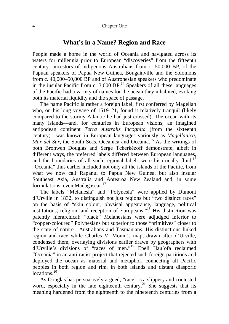### **What's in a Name? Region and Race**

People made a home in the world of Oceania and navigated across its waters for millennia prior to European "discoveries" from the fifteenth century: ancestors of indigenous Australians from c. 50,000 BP, of the Papuan speakers of Papua New Guinea, Bougainville and the Solomons from c. 40,000–50,000 BP and of Austronesian speakers who predominate in the insular Pacific from c.  $3,000$  BP.<sup>14</sup> Speakers of all these languages of the Pacific had a variety of names for the ocean they inhabited, evoking both its material liquidity and the space of passage.

The name Pacific is rather a foreign label, first conferred by Magellan who, on his long voyage of 1519–21, found it relatively tranquil (likely compared to the stormy Atlantic he had just crossed). The ocean with its many islands—and, for centuries in European visions, an imagined antipodean continent *Terra Australis Incognita* (from the sixteenth century)—was known in European languages variously as *Magellanica*, *Mar del Sur*, the South Seas, Oceanica and Oceania.<sup>15</sup> As the writings of both Bronwen Douglas and Serge Tcherkézoff demonstrate, albeit in different ways, the preferred labels differed between European languages, and the boundaries of all such regional labels were historically fluid.<sup>16</sup> "Oceania" thus earlier included not only all the islands of the Pacific, from what we now call Rapanui to Papua New Guinea, but also insular Southeast Asia, Australia and Aotearoa New Zealand and, in some formulations, even Madagascar.<sup>17</sup>

The labels "Melanesia" and "Polynesia" were applied by Dumont d'Urville in 1832, to distinguish not just regions but "two distinct races" on the basis of "skin colour, physical appearance, language, political institutions, religion, and reception of Europeans."<sup>18</sup> His distinction was patently hierarchical: "black" Melanesians were adjudged inferior to "copper-coloured" Polynesians but superior to those "primitives" closer to the state of nature—Australians and Tasmanians. His distinctions linked region and race while Charles V. Monin's map, drawn after d'Urville, condensed them, overlaying divisions earlier drawn by geographers with d'Urville's divisions of "races of men."<sup>19</sup> Epeli Hau'ofa reclaimed "Oceania" in an anti-racist project that rejected such foreign partitions and deployed the ocean as material and metaphor, connecting all Pacific peoples in both region and rim, in both islands and distant diasporic locations.<sup>20</sup>

As Douglas has persuasively argued, "race" is a slippery and contested word, especially in the late eighteenth century.<sup>21</sup> She suggests that its meaning hardened from the eighteenth to the nineteenth centuries from a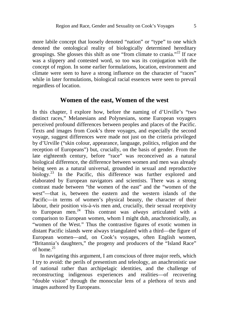more labile concept that loosely denoted "nation" or "type" to one which denoted the ontological reality of biologically determined hereditary groupings. She glosses this shift as one "from climate to crania."<sup>22</sup> If race was a slippery and contested word, so too was its conjugation with the concept of region. In some earlier formulations, location, environment and climate were seen to have a strong influence on the character of "races" while in later formulations, biological racial essences were seen to prevail regardless of location.

### **Women of the east, Women of the west**

In this chapter, I explore how, before the naming of d'Urville's "two distinct races," Melanesians and Polynesians, some European voyagers perceived profound differences between peoples and places of the Pacific. Texts and images from Cook's three voyages, and especially the second voyage, suggest differences were made not just on the criteria privileged by d'Urville ("skin colour, appearance, language, politics, religion and the reception of Europeans") but, crucially, on the basis of gender. From the late eighteenth century, before "race" was reconceived as a natural biological difference, the difference between women and men was already being seen as a natural universal, grounded in sexual and reproductive biology.<sup>23</sup> In the Pacific, this difference was further explored and elaborated by European navigators and scientists. There was a strong contrast made between "the women of the east" and the "women of the west"—that is, between the eastern and the western islands of the Pacific—in terms of women's physical beauty, the character of their labour, their position vis-à-vis men and, crucially, their sexual receptivity to European men.<sup>24</sup> This contrast was *always* articulated with a comparison to European women, whom I might dub, anachronistically, as "women of the West." Thus the contrastive figures of exotic women in distant Pacific islands were always triangulated with a third—the figure of European women—and, on Cook's voyages, often English women, "Britannia's daughters," the progeny and producers of the "Island Race" of home.<sup>25</sup>

In navigating this argument, I am conscious of three major reefs, which I try to avoid: the perils of presentism and teleology, an anachronistic use of national rather than archipelagic identities, and the challenge of reconstructing indigenous experiences and realities—of recovering "double vision" through the monocular lens of a plethora of texts and images authored by Europeans.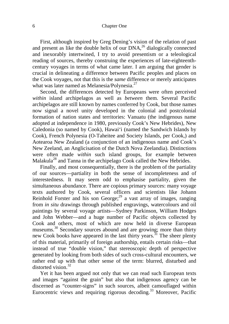#### 6 Chapter One

First, although inspired by Greg Dening's vision of the relation of past and present as like the double helix of our  $DNA<sup>26</sup>$  dialogically connected and inexorably intertwined, I try to avoid presentism or a teleological reading of sources, thereby construing the experiences of late-eighteenthcentury voyages in terms of what came later. I am arguing that gender is crucial in delineating a difference between Pacific peoples and places on the Cook voyages, not that this is the *same* difference or merely anticipates what was later named as Melanesia/Polynesia.<sup>27</sup>

Second, the differences detected by Europeans were often perceived *within* island archipelagos as well as *between* them. Several Pacific archipelagos are still known by names conferred by Cook, but those names now signal a novel unity developed in the colonial and postcolonial formation of nation states and territories: Vanuatu (the indigenous name adopted at independence in 1980, previously Cook's New Hebrides), New Caledonia (so named by Cook), Hawai'i (named the Sandwich Islands by Cook), French Polynesia (O-Taheitee and Society Islands, per Cook,) and Aotearoa New Zealand (a conjunction of an indigenous name and Cook's New Zeeland, an Anglicisation of the Dutch Nova Zeelandia). Distinctions were often made *within* such island groups, for example between Malakula<sup>28</sup> and Tanna in the archipelago Cook called the New Hebrides.

Finally, and most consequentially, there is the problem of the partiality of our sources—partiality in both the sense of incompleteness and of interestedness. It may seem odd to emphasise partiality, given the simultaneous abundance. There are copious primary sources: many voyage texts authored by Cook, several officers and scientists like Johann Reinhold Forster and his son George; $^{29}$  a vast array of images, ranging from *in situ* drawings through published engravings, watercolours and oil paintings by several voyage artists—Sydney Parkinson, William Hodges and John Webber—and a huge number of Pacific objects collected by Cook and others, most of which are now held in diverse European museums.<sup>30</sup> Secondary sources abound and are growing; more than thirty new Cook books have appeared in the last thirty years.<sup>31</sup> The sheer plenty of this material, primarily of foreign authorship, entails certain risks—that instead of true "double vision," that stereoscopic depth of perspective generated by looking from both sides of such cross-cultural encounters, we rather end up with that other sense of the term: blurred, disturbed and distorted vision.<sup>32</sup>

Yet it has been argued not only that we can read such European texts and images "against the grain" but also that indigenous agency can be discerned as "counter-signs" in such sources, albeit camouflaged within Eurocentric views and requiring rigorous decoding.<sup>33</sup> Moreover, Pacific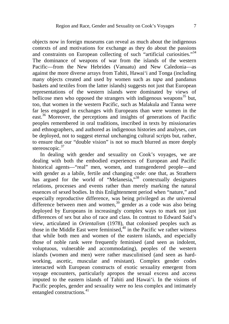objects now in foreign museums can reveal as much about the indigenous contexts of and motivations for exchange as they do about the passions and constraints on European collecting of such "artificial curiosities."<sup>34</sup> The dominance of weapons of war from the islands of the western Pacific—from the New Hebrides (Vanuatu) and New Caledonia—as against the more diverse arrays from Tahiti, Hawai'i and Tonga (including many objects created and used by women such as *tapa* and pandanus baskets and textiles from the latter islands) suggests not just that European representations of the western islands were dominated by views of bellicose men who opposed the strangers with indigenous weapons<sup>35</sup> but, too, that women in the western Pacific, such as Malakula and Tanna were far less engaged in exchanges with Europeans than were women in the east.<sup>36</sup> Moreover, the perceptions and insights of generations of Pacific peoples remembered in oral traditions, inscribed in texts by missionaries and ethnographers, and authored as indigenous histories and analyses, *can*  be deployed, not to suggest eternal unchanging cultural scripts but, rather, to ensure that our "double vision" is not so much blurred as more deeply stereoscopic.<sup>37</sup>

In dealing with gender and sexuality on Cook's voyages, we are dealing with both the embodied experiences of European and Pacific historical agents—"real" men, women, and transgendered people—and with gender as a labile, fertile and changing code: one that, as Strathern has argued for the world of "Melanesia,"<sup>38</sup> contextually designates relations, processes and events rather than merely marking the natural essences of sexed bodies. In this Enlightenment period when "nature," and especially reproductive difference, was being privileged as *the* universal difference between men and women,<sup>39</sup> gender as a code was also being deployed by Europeans in increasingly complex ways to mark not just differences of sex but also of race and class. In contrast to Edward Said's view, articulated in *Orientalism* (1978), that colonised peoples such as those in the Middle East were feminised, $40$  in the Pacific we rather witness that while both men and women of the eastern islands, and especially those of noble rank were frequently feminised (and seen as indolent, voluptuous, vulnerable and accommodating), peoples of the western islands (women and men) were rather masculinised (and seen as hardworking, ascetic, muscular and resistant). Complex gender codes interacted with European constructs of exotic sexuality emergent from voyage encounters, particularly apropos the sexual excess and access imputed to the eastern islands of Tahiti and Hawai'i. In the visions of Pacific peoples, gender and sexuality were no less complex and intimately entangled constructions.<sup>41</sup>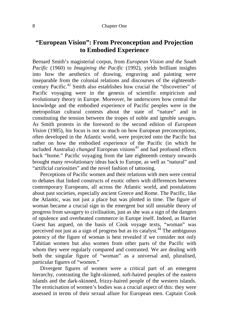### **"European Vision": From Preconception and Projection to Embodied Experience**

Bernard Smith's magisterial corpus, from *European Vision and the South Pacific* (1960) to *Imagining the Pacific* (1992), yields brilliant insights into how the aesthetics of drawing, engraving and painting were inseparable from the colonial relations and discourses of the eighteenthcentury Pacific.<sup>42</sup> Smith also establishes how crucial the "discoveries" of Pacific voyaging were in the genesis of scientific empiricism and evolutionary theory in Europe. Moreover, he underscores how central the knowledge and the embodied experience of Pacific peoples were in the metropolitan cultural contests about the state of "nature" and in constituting the tension between the tropes of noble and ignoble savages. As Smith protests in the foreword to the second edition of *European Vision* (1985), his focus is not so much on how European preconceptions, often developed in the Atlantic world, were projected onto the Pacific but rather on how the embodied experience of the Pacific (in which he included Australia) *changed* European visions<sup>43</sup> and had profound effects back "home." Pacific voyaging from the late eighteenth century onwards brought many revolutionary ideas back to Europe, as well as "natural" and "artificial curiosities" and the novel fashion of tattooing.

Perceptions of Pacific women and their relations with men were central to debates that linked constructs of exotic others with differences between contemporary Europeans, all across the Atlantic world, and postulations about past societies, especially ancient Greece and Rome. The Pacific, like the Atlantic, was not just a place but was plotted in time. The figure of woman became a crucial sign in the emergent but still unstable theory of progress from savagery to civilisation, just as she was a sign of the dangers of opulence and overheated commerce in Europe itself. Indeed, as Harriet Guest has argued, on the basis of Cook voyage texts, "woman" was perceived not just as a sign of progress but as its catalyst.<sup>44</sup> The ambiguous potency of the figure of woman is best revealed if we consider not only Tahitian women but also women from other parts of the Pacific with whom they were regularly compared and contrasted. We are dealing with both the singular figure of "woman" as a universal and, pluralised, particular figures of "women."

Divergent figures of women were a critical part of an emergent hierarchy, contrasting the light-skinned, soft-haired peoples of the eastern islands and the dark-skinned, frizzy-haired people of the western islands. The eroticisation of women's bodies was a crucial aspect of this: they were assessed in terms of their sexual allure for European men. Captain Cook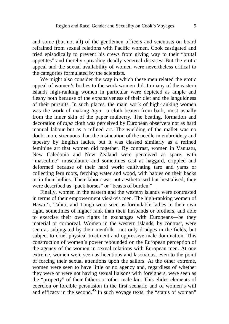and some (but not all) of the gentlemen officers and scientists on board refrained from sexual relations with Pacific women. Cook castigated and tried episodically to prevent his crews from giving way to their "brutal appetites" and thereby spreading deadly venereal diseases. But the erotic appeal and the sexual availability of women were nevertheless critical to the categories formulated by the scientists.

We might also consider the way in which these men related the erotic appeal of women's bodies to the work women did. In many of the eastern islands high-ranking women in particular were depicted as ample and fleshy both because of the expansiveness of their diet and the languidness of their pursuits. In such places, the main work of high-ranking women was the work of making *tapa*—a cloth beaten from bark, most usually from the inner skin of the paper mulberry. The beating, formation and decoration of *tapa* cloth was perceived by European observers not as hard manual labour but as a refined art. The wielding of the mallet was no doubt more strenuous than the insinuation of the needle in embroidery and tapestry by English ladies, but it was classed similarly as a refined feminine art that women did together. By contrast, women in Vanuatu, New Caledonia and New Zealand were perceived as spare, with "masculine" musculature and sometimes cast as haggard, crippled and deformed because of their hard work: cultivating taro and yams or collecting fern roots, fetching water and wood, with babies on their backs or in their bellies. Their labour was not aestheticised but bestialised; they were described as "pack horses" or "beasts of burden."

Finally, women in the eastern and the western islands were contrasted in terms of their empowerment vis-à-vis men. The high-ranking women of Hawai'i, Tahiti, and Tonga were seen as formidable ladies in their own right, sometimes of higher rank than their husbands or brothers, and able to exercise their own rights in exchanges with Europeans—be they material or corporeal. Women in the western islands, by contrast, were seen as subjugated by their menfolk—not only drudges in the fields, but subject to cruel physical treatment and oppressive male domination. This construction of women's power rebounded on the European perception of the agency of the women in sexual relations with European men. At one extreme, women were seen as licentious and lascivious, even to the point of forcing their sexual attentions upon the sailors. At the other extreme, women were seen to have little or no agency and, regardless of whether they were or were not having sexual liaisons with foreigners, were seen as the "property" of their fathers or other male kin. This elides elements of coercion or forcible persuasion in the first scenario and of women's will and efficacy in the second.<sup>45</sup> In such voyage texts, the "status of woman"